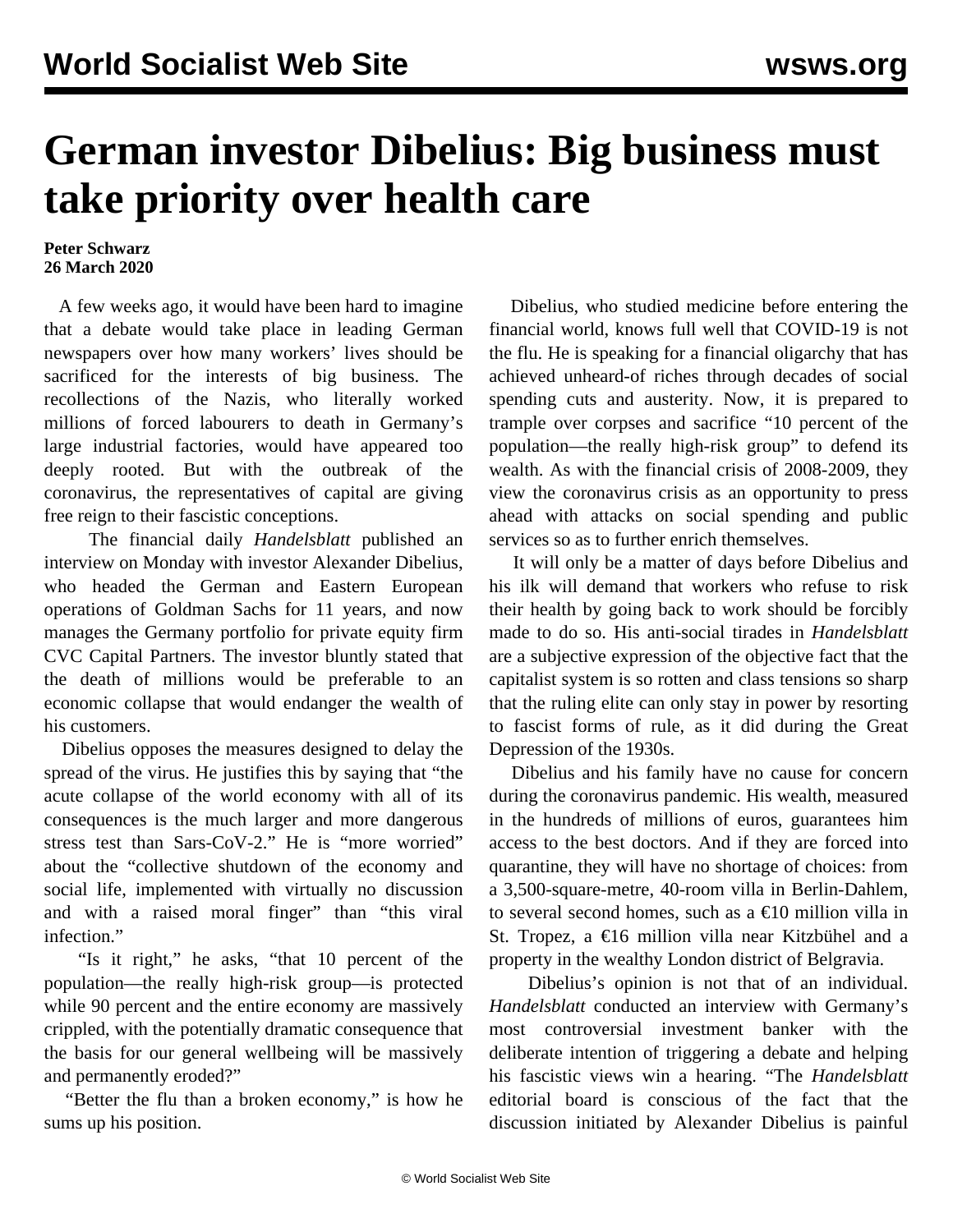## **German investor Dibelius: Big business must take priority over health care**

## **Peter Schwarz 26 March 2020**

 A few weeks ago, it would have been hard to imagine that a debate would take place in leading German newspapers over how many workers' lives should be sacrificed for the interests of big business. The recollections of the Nazis, who literally worked millions of forced labourers to death in Germany's large industrial factories, would have appeared too deeply rooted. But with the outbreak of the coronavirus, the representatives of capital are giving free reign to their fascistic conceptions.

 The financial daily *Handelsblatt* published an interview on Monday with investor Alexander Dibelius, who headed the German and Eastern European operations of Goldman Sachs for 11 years, and now manages the Germany portfolio for private equity firm CVC Capital Partners. The investor bluntly stated that the death of millions would be preferable to an economic collapse that would endanger the wealth of his customers.

 Dibelius opposes the measures designed to delay the spread of the virus. He justifies this by saying that "the acute collapse of the world economy with all of its consequences is the much larger and more dangerous stress test than Sars-CoV-2." He is "more worried" about the "collective shutdown of the economy and social life, implemented with virtually no discussion and with a raised moral finger" than "this viral infection."

 "Is it right," he asks, "that 10 percent of the population—the really high-risk group—is protected while 90 percent and the entire economy are massively crippled, with the potentially dramatic consequence that the basis for our general wellbeing will be massively and permanently eroded?"

 "Better the flu than a broken economy," is how he sums up his position.

 Dibelius, who studied medicine before entering the financial world, knows full well that COVID-19 is not the flu. He is speaking for a financial oligarchy that has achieved unheard-of riches through decades of social spending cuts and austerity. Now, it is prepared to trample over corpses and sacrifice "10 percent of the population—the really high-risk group" to defend its wealth. As with the financial crisis of 2008-2009, they view the coronavirus crisis as an opportunity to press ahead with attacks on social spending and public services so as to further enrich themselves.

 It will only be a matter of days before Dibelius and his ilk will demand that workers who refuse to risk their health by going back to work should be forcibly made to do so. His anti-social tirades in *Handelsblatt* are a subjective expression of the objective fact that the capitalist system is so rotten and class tensions so sharp that the ruling elite can only stay in power by resorting to fascist forms of rule, as it did during the Great Depression of the 1930s.

 Dibelius and his family have no cause for concern during the coronavirus pandemic. His wealth, measured in the hundreds of millions of euros, guarantees him access to the best doctors. And if they are forced into quarantine, they will have no shortage of choices: from a 3,500-square-metre, 40-room villa in Berlin-Dahlem, to several second homes, such as a  $\epsilon$ 10 million villa in St. Tropez, a €16 million villa near Kitzbühel and a property in the wealthy London district of Belgravia.

 Dibelius's opinion is not that of an individual. *Handelsblatt* conducted an interview with Germany's most controversial investment banker with the deliberate intention of triggering a debate and helping his fascistic views win a hearing. "The *Handelsblatt* editorial board is conscious of the fact that the discussion initiated by Alexander Dibelius is painful